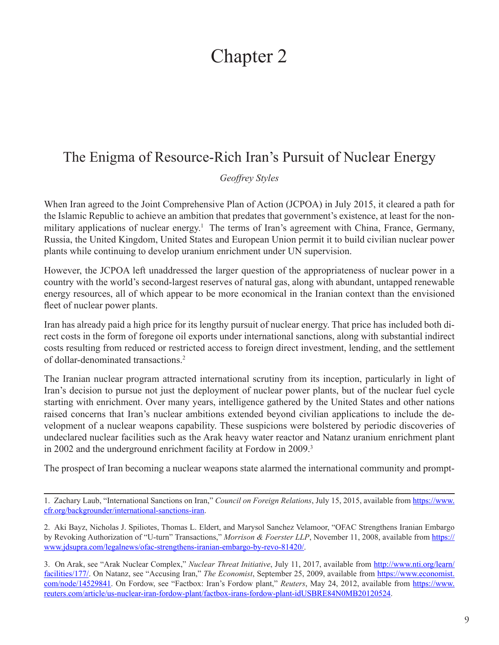# Chapter 2

# The Enigma of Resource-Rich Iran's Pursuit of Nuclear Energy

*Geoffrey Styles*

When Iran agreed to the Joint Comprehensive Plan of Action (JCPOA) in July 2015, it cleared a path for the Islamic Republic to achieve an ambition that predates that government's existence, at least for the nonmilitary applications of nuclear energy.<sup>1</sup> The terms of Iran's agreement with China, France, Germany, Russia, the United Kingdom, United States and European Union permit it to build civilian nuclear power plants while continuing to develop uranium enrichment under UN supervision.

However, the JCPOA left unaddressed the larger question of the appropriateness of nuclear power in a country with the world's second-largest reserves of natural gas, along with abundant, untapped renewable energy resources, all of which appear to be more economical in the Iranian context than the envisioned fleet of nuclear power plants.

Iran has already paid a high price for its lengthy pursuit of nuclear energy. That price has included both direct costs in the form of foregone oil exports under international sanctions, along with substantial indirect costs resulting from reduced or restricted access to foreign direct investment, lending, and the settlement of dollar-denominated transactions.2

The Iranian nuclear program attracted international scrutiny from its inception, particularly in light of Iran's decision to pursue not just the deployment of nuclear power plants, but of the nuclear fuel cycle starting with enrichment. Over many years, intelligence gathered by the United States and other nations raised concerns that Iran's nuclear ambitions extended beyond civilian applications to include the development of a nuclear weapons capability. These suspicions were bolstered by periodic discoveries of undeclared nuclear facilities such as the Arak heavy water reactor and Natanz uranium enrichment plant in 2002 and the underground enrichment facility at Fordow in 2009.3

The prospect of Iran becoming a nuclear weapons state alarmed the international community and prompt-

<sup>1.</sup> Zachary Laub, "International Sanctions on Iran," *Council on Foreign Relations*, July 15, 2015, available from [https://www.](https://www.cfr.org/backgrounder/international-sanctions-iran) [cfr.org/backgrounder/international-sanctions-iran.](https://www.cfr.org/backgrounder/international-sanctions-iran)

<sup>2.</sup> Aki Bayz, Nicholas J. Spiliotes, Thomas L. Eldert, and Marysol Sanchez Velamoor, "OFAC Strengthens Iranian Embargo by Revoking Authorization of "U-turn" Transactions," *Morrison & Foerster LLP*, November 11, 2008, available from [https://](https://www.jdsupra.com/legalnews/ofac-strengthens-iranian-embargo-by-revo-81420/) [www.jdsupra.com/legalnews/ofac-strengthens-iranian-embargo-by-revo-81420/](https://www.jdsupra.com/legalnews/ofac-strengthens-iranian-embargo-by-revo-81420/).

<sup>3.</sup> On Arak, see "Arak Nuclear Complex," *Nuclear Threat Initiative*, July 11, 2017, available from [http://www.nti.org/learn/](http://www.nti.org/learn/facilities/177/) [facilities/177/](http://www.nti.org/learn/facilities/177/). On Natanz, see "Accusing Iran," *The Economist*, September 25, 2009, available from [https://www.economist.](https://www.economist.com/node/14529841) [com/node/14529841](https://www.economist.com/node/14529841). On Fordow, see "Factbox: Iran's Fordow plant," *Reuters*, May 24, 2012, available from [https://www.](https://www.reuters.com/article/us-nuclear-iran-fordow-plant/factbox-irans-fordow-plant-idUSBRE84N0MB20120524) [reuters.com/article/us-nuclear-iran-fordow-plant/factbox-irans-fordow-plant-idUSBRE84N0MB20120524.](https://www.reuters.com/article/us-nuclear-iran-fordow-plant/factbox-irans-fordow-plant-idUSBRE84N0MB20120524)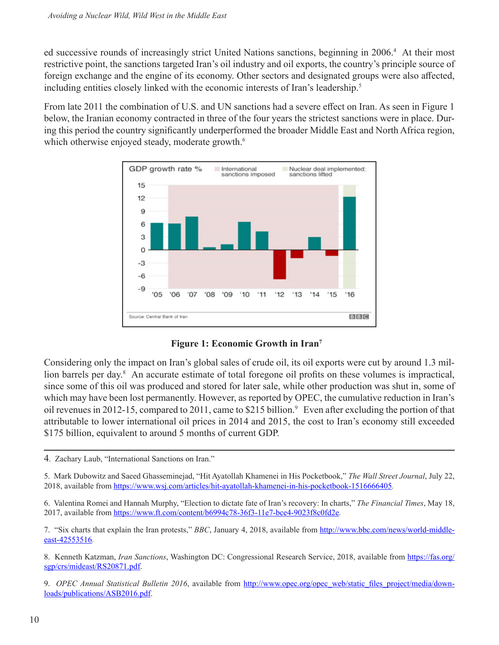ed successive rounds of increasingly strict United Nations sanctions, beginning in 2006.4 At their most restrictive point, the sanctions targeted Iran's oil industry and oil exports, the country's principle source of foreign exchange and the engine of its economy. Other sectors and designated groups were also affected, including entities closely linked with the economic interests of Iran's leadership.<sup>5</sup>

From late 2011 the combination of U.S. and UN sanctions had a severe effect on Iran. As seen in Figure 1 below, the Iranian economy contracted in three of the four years the strictest sanctions were in place. During this period the country significantly underperformed the broader Middle East and North Africa region, which otherwise enjoyed steady, moderate growth.<sup>6</sup>





Considering only the impact on Iran's global sales of crude oil, its oil exports were cut by around 1.3 million barrels per day.<sup>8</sup> An accurate estimate of total foregone oil profits on these volumes is impractical, since some of this oil was produced and stored for later sale, while other production was shut in, some of which may have been lost permanently. However, as reported by OPEC, the cumulative reduction in Iran's oil revenues in 2012-15, compared to 2011, came to \$215 billion.9 Even after excluding the portion of that attributable to lower international oil prices in 2014 and 2015, the cost to Iran's economy still exceeded \$175 billion, equivalent to around 5 months of current GDP.

5. Mark Dubowitz and Saeed Ghasseminejad, "Hit Ayatollah Khamenei in His Pocketbook," *The Wall Street Journal*, July 22, 2018, available from <https://www.wsj.com/articles/hit-ayatollah-khamenei-in-his-pocketbook-1516666405>*.*

6. Valentina Romei and Hannah Murphy, "Election to dictate fate of Iran's recovery: In charts," *The Financial Times*, May 18, 2017, available from <https://www.ft.com/content/b6994c78-36f3-11e7-bce4-9023f8c0fd2e>*.*

7. "Six charts that explain the Iran protests," *BBC*, January 4, 2018, available from [http://www.bbc.com/news/world-middle](http://www.bbc.com/news/world-middle-east-42553516)[east-42553516](http://www.bbc.com/news/world-middle-east-42553516)*.*

8. Kenneth Katzman, *Iran Sanctions*, Washington DC: Congressional Research Service, 2018, available from [https://fas.org/](https://fas.org/sgp/crs/mideast/RS20871.pdf) [sgp/crs/mideast/RS20871.pdf](https://fas.org/sgp/crs/mideast/RS20871.pdf).

9. *OPEC Annual Statistical Bulletin 2016*, available from [http://www.opec.org/opec\\_web/static\\_files\\_project/media/down](http://www.opec.org/opec_web/static_files_project/media/downloads/publications/ASB2016.pdf)[loads/publications/ASB2016.pdf.](http://www.opec.org/opec_web/static_files_project/media/downloads/publications/ASB2016.pdf)

<sup>4</sup>. Zachary Laub, "International Sanctions on Iran."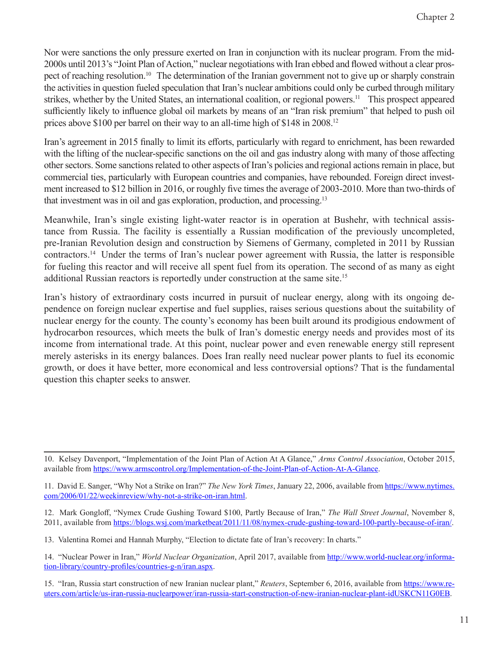Nor were sanctions the only pressure exerted on Iran in conjunction with its nuclear program. From the mid-2000s until 2013's "Joint Plan of Action," nuclear negotiations with Iran ebbed and flowed without a clear prospect of reaching resolution.<sup>10</sup> The determination of the Iranian government not to give up or sharply constrain the activities in question fueled speculation that Iran's nuclear ambitions could only be curbed through military strikes, whether by the United States, an international coalition, or regional powers.<sup>11</sup> This prospect appeared sufficiently likely to influence global oil markets by means of an "Iran risk premium" that helped to push oil prices above \$100 per barrel on their way to an all-time high of \$148 in 2008.12

Iran's agreement in 2015 finally to limit its efforts, particularly with regard to enrichment, has been rewarded with the lifting of the nuclear-specific sanctions on the oil and gas industry along with many of those affecting other sectors. Some sanctions related to other aspects of Iran's policies and regional actions remain in place, but commercial ties, particularly with European countries and companies, have rebounded. Foreign direct investment increased to \$12 billion in 2016, or roughly five times the average of 2003-2010. More than two-thirds of that investment was in oil and gas exploration, production, and processing.13

Meanwhile, Iran's single existing light-water reactor is in operation at Bushehr, with technical assistance from Russia. The facility is essentially a Russian modification of the previously uncompleted, pre-Iranian Revolution design and construction by Siemens of Germany, completed in 2011 by Russian contractors.14 Under the terms of Iran's nuclear power agreement with Russia, the latter is responsible for fueling this reactor and will receive all spent fuel from its operation. The second of as many as eight additional Russian reactors is reportedly under construction at the same site.15

Iran's history of extraordinary costs incurred in pursuit of nuclear energy, along with its ongoing dependence on foreign nuclear expertise and fuel supplies, raises serious questions about the suitability of nuclear energy for the county. The county's economy has been built around its prodigious endowment of hydrocarbon resources, which meets the bulk of Iran's domestic energy needs and provides most of its income from international trade. At this point, nuclear power and even renewable energy still represent merely asterisks in its energy balances. Does Iran really need nuclear power plants to fuel its economic growth, or does it have better, more economical and less controversial options? That is the fundamental question this chapter seeks to answer.

10. Kelsey Davenport, "Implementation of the Joint Plan of Action At A Glance," *Arms Control Association*, October 2015, available from <https://www.armscontrol.org/Implementation-of-the-Joint-Plan-of-Action-At-A-Glance>.

11. David E. Sanger, "Why Not a Strike on Iran?" *The New York Times*, January 22, 2006, available from [https://www.nytimes.](https://www.nytimes.com/2006/01/22/weekinreview/why-not-a-strike-on-iran.html) [com/2006/01/22/weekinreview/why-not-a-strike-on-iran.html.](https://www.nytimes.com/2006/01/22/weekinreview/why-not-a-strike-on-iran.html)

12. Mark Gongloff, "Nymex Crude Gushing Toward \$100, Partly Because of Iran," *The Wall Street Journal*, November 8, 2011, available from<https://blogs.wsj.com/marketbeat/2011/11/08/nymex-crude-gushing-toward-100-partly-because-of-iran/>.

13. Valentina Romei and Hannah Murphy, "Election to dictate fate of Iran's recovery: In charts."

14. "Nuclear Power in Iran," *World Nuclear Organization*, April 2017, available from [http://www.world-nuclear.org/informa](http://www.world-nuclear.org/information-library/country-profiles/countries-g-n/iran.aspx)[tion-library/country-profiles/countries-g-n/iran.aspx](http://www.world-nuclear.org/information-library/country-profiles/countries-g-n/iran.aspx).

15. "Iran, Russia start construction of new Iranian nuclear plant," *Reuters*, September 6, 2016, available from [https://www.re](https://www.reuters.com/article/us-iran-russia-nuclearpower-idUSKCN11G0EB)[uters.com/article/us-iran-russia-nuclearpower/iran-russia-start-construction-of-new-iranian-nuclear-plant-idUSKCN11G0EB](https://www.reuters.com/article/us-iran-russia-nuclearpower-idUSKCN11G0EB).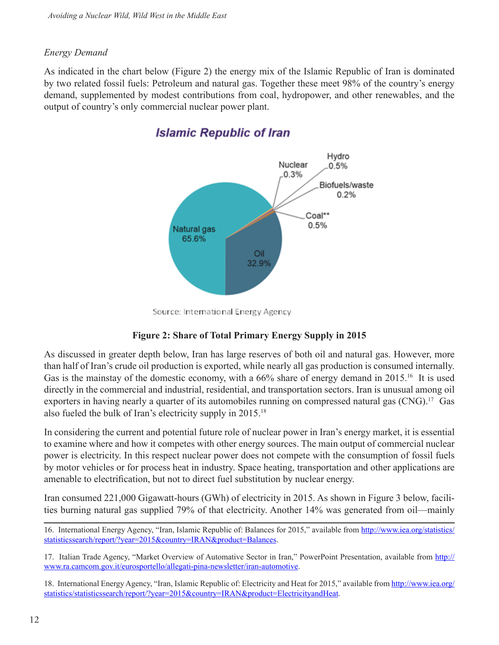#### *Energy Demand*

As indicated in the chart below (Figure 2) the energy mix of the Islamic Republic of Iran is dominated by two related fossil fuels: Petroleum and natural gas. Together these meet 98% of the country's energy demand, supplemented by modest contributions from coal, hydropower, and other renewables, and the output of country's only commercial nuclear power plant.



### **Islamic Republic of Iran**

Source: International Energy Agency

#### **Figure 2: Share of Total Primary Energy Supply in 2015**

As discussed in greater depth below, Iran has large reserves of both oil and natural gas. However, more than half of Iran's crude oil production is exported, while nearly all gas production is consumed internally. Gas is the mainstay of the domestic economy, with a 66% share of energy demand in 2015.<sup>16</sup> It is used directly in the commercial and industrial, residential, and transportation sectors. Iran is unusual among oil exporters in having nearly a quarter of its automobiles running on compressed natural gas (CNG).<sup>17</sup> Gas also fueled the bulk of Iran's electricity supply in 2015.<sup>18</sup>

In considering the current and potential future role of nuclear power in Iran's energy market, it is essential to examine where and how it competes with other energy sources. The main output of commercial nuclear power is electricity. In this respect nuclear power does not compete with the consumption of fossil fuels by motor vehicles or for process heat in industry. Space heating, transportation and other applications are amenable to electrification, but not to direct fuel substitution by nuclear energy.

Iran consumed 221,000 Gigawatt-hours (GWh) of electricity in 2015. As shown in Figure 3 below, facilities burning natural gas supplied 79% of that electricity. Another 14% was generated from oil—mainly

<sup>16.</sup> International Energy Agency, "Iran, Islamic Republic of: Balances for 2015," available from [http://www.iea.org/statistics/](http://www.iea.org/statistics/statisticssearch/report/?year=2015&country=IRAN&product=Balances) [statisticssearch/report/?year=2015&country=IRAN&product=Balances](http://www.iea.org/statistics/statisticssearch/report/?year=2015&country=IRAN&product=Balances).

<sup>17.</sup> Italian Trade Agency, "Market Overview of Automative Sector in Iran," PowerPoint Presentation, available from [http://](http://www.ra.camcom.gov.it/eurosportello/allegati-pina-newsletter/iran-automotive) [www.ra.camcom.gov.it/eurosportello/allegati-pina-newsletter/iran-automotive.](http://www.ra.camcom.gov.it/eurosportello/allegati-pina-newsletter/iran-automotive)

<sup>18.</sup> International Energy Agency, "Iran, Islamic Republic of: Electricity and Heat for 2015," available from [http://www.iea.org/](http://www.iea.org/statistics/statisticssearch/report/?year=2015&country=IRAN&product=ElectricityandHeat) [statistics/statisticssearch/report/?year=2015&country=IRAN&product=ElectricityandHeat](http://www.iea.org/statistics/statisticssearch/report/?year=2015&country=IRAN&product=ElectricityandHeat).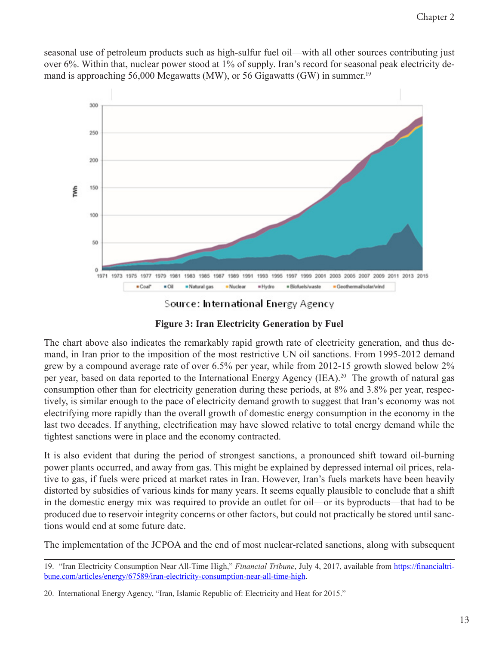seasonal use of petroleum products such as high-sulfur fuel oil—with all other sources contributing just over 6%. Within that, nuclear power stood at 1% of supply. Iran's record for seasonal peak electricity demand is approaching 56,000 Megawatts (MW), or 56 Gigawatts (GW) in summer. 19



Source: International Energy Agency

**Figure 3: Iran Electricity Generation by Fuel**

The chart above also indicates the remarkably rapid growth rate of electricity generation, and thus demand, in Iran prior to the imposition of the most restrictive UN oil sanctions. From 1995-2012 demand grew by a compound average rate of over 6.5% per year, while from 2012-15 growth slowed below 2% per year, based on data reported to the International Energy Agency (IEA).<sup>20</sup> The growth of natural gas consumption other than for electricity generation during these periods, at 8% and 3.8% per year, respectively, is similar enough to the pace of electricity demand growth to suggest that Iran's economy was not electrifying more rapidly than the overall growth of domestic energy consumption in the economy in the last two decades. If anything, electrification may have slowed relative to total energy demand while the tightest sanctions were in place and the economy contracted.

It is also evident that during the period of strongest sanctions, a pronounced shift toward oil-burning power plants occurred, and away from gas. This might be explained by depressed internal oil prices, relative to gas, if fuels were priced at market rates in Iran. However, Iran's fuels markets have been heavily distorted by subsidies of various kinds for many years. It seems equally plausible to conclude that a shift in the domestic energy mix was required to provide an outlet for oil—or its byproducts—that had to be produced due to reservoir integrity concerns or other factors, but could not practically be stored until sanctions would end at some future date.

The implementation of the JCPOA and the end of most nuclear-related sanctions, along with subsequent

<sup>19. &</sup>quot;Iran Electricity Consumption Near All-Time High," *Financial Tribune*, July 4, 2017, available from [https://financialtri](https://financialtribune.com/articles/energy/67589/iran-electricity-consumption-near-all-time-high)[bune.com/articles/energy/67589/iran-electricity-consumption-near-all-time-high.](https://financialtribune.com/articles/energy/67589/iran-electricity-consumption-near-all-time-high)

<sup>20.</sup> International Energy Agency, "Iran, Islamic Republic of: Electricity and Heat for 2015."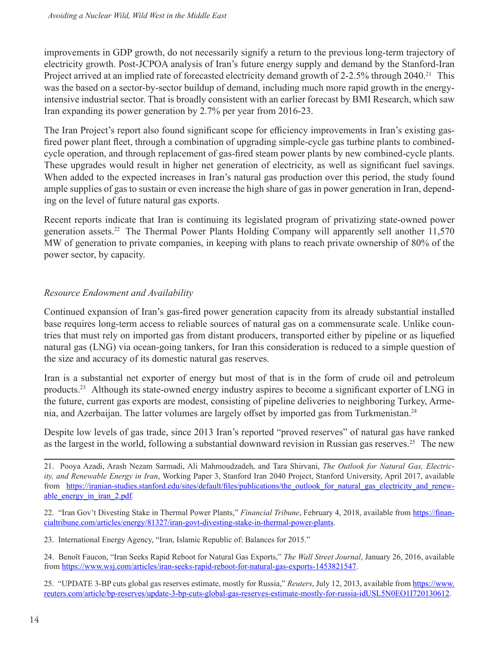improvements in GDP growth, do not necessarily signify a return to the previous long-term trajectory of electricity growth. Post-JCPOA analysis of Iran's future energy supply and demand by the Stanford-Iran Project arrived at an implied rate of forecasted electricity demand growth of 2-2.5% through 2040.<sup>21</sup> This was the based on a sector-by-sector buildup of demand, including much more rapid growth in the energyintensive industrial sector. That is broadly consistent with an earlier forecast by BMI Research, which saw Iran expanding its power generation by 2.7% per year from 2016-23.

The Iran Project's report also found significant scope for efficiency improvements in Iran's existing gasfired power plant fleet, through a combination of upgrading simple-cycle gas turbine plants to combinedcycle operation, and through replacement of gas-fired steam power plants by new combined-cycle plants. These upgrades would result in higher net generation of electricity, as well as significant fuel savings. When added to the expected increases in Iran's natural gas production over this period, the study found ample supplies of gas to sustain or even increase the high share of gas in power generation in Iran, depending on the level of future natural gas exports.

Recent reports indicate that Iran is continuing its legislated program of privatizing state-owned power generation assets.22 The Thermal Power Plants Holding Company will apparently sell another 11,570 MW of generation to private companies, in keeping with plans to reach private ownership of 80% of the power sector, by capacity.

#### *Resource Endowment and Availability*

Continued expansion of Iran's gas-fired power generation capacity from its already substantial installed base requires long-term access to reliable sources of natural gas on a commensurate scale. Unlike countries that must rely on imported gas from distant producers, transported either by pipeline or as liquefied natural gas (LNG) via ocean-going tankers, for Iran this consideration is reduced to a simple question of the size and accuracy of its domestic natural gas reserves.

Iran is a substantial net exporter of energy but most of that is in the form of crude oil and petroleum products.23 Although its state-owned energy industry aspires to become a significant exporter of LNG in the future, current gas exports are modest, consisting of pipeline deliveries to neighboring Turkey, Armenia, and Azerbaijan. The latter volumes are largely offset by imported gas from Turkmenistan.<sup>24</sup>

Despite low levels of gas trade, since 2013 Iran's reported "proved reserves" of natural gas have ranked as the largest in the world, following a substantial downward revision in Russian gas reserves.<sup>25</sup> The new

23. International Energy Agency, "Iran, Islamic Republic of: Balances for 2015."

24. Benoît Faucon, "Iran Seeks Rapid Reboot for Natural Gas Exports," *The Wall Street Journal*, January 26, 2016, available from <https://www.wsj.com/articles/iran-seeks-rapid-reboot-for-natural-gas-exports-1453821547>.

25. "UPDATE 3-BP cuts global gas reserves estimate, mostly for Russia," *Reuters*, July 12, 2013, available from [https://www.](https://www.reuters.com/article/bp-reserves/update-3-bp-cuts-global-gas-reserves-estimate-mostly-for-russia-idUSL5N0EO1I720130612) [reuters.com/article/bp-reserves/update-3-bp-cuts-global-gas-reserves-estimate-mostly-for-russia-idUSL5N0EO1I720130612.](https://www.reuters.com/article/bp-reserves/update-3-bp-cuts-global-gas-reserves-estimate-mostly-for-russia-idUSL5N0EO1I720130612)

<sup>21.</sup> Pooya Azadi, Arash Nezam Sarmadi, Ali Mahmoudzadeh, and Tara Shirvani, *The Outlook for Natural Gas, Electricity, and Renewable Energy in Iran*, Working Paper 3, Stanford Iran 2040 Project, Stanford University, April 2017, available from https://iranian-studies.stanford.edu/sites/default/files/publications/the outlook for natural gas electricity and renew[able\\_energy\\_in\\_iran\\_2.pdf](https://iranian-studies.stanford.edu/sites/default/files/publications/the_outlook_for_natural_gas_electricity_and_renewable_energy_in_iran_2.pdf)*.*

<sup>22. &</sup>quot;Iran Gov't Divesting Stake in Thermal Power Plants," *Financial Tribune*, February 4, 2018, available from [https://finan](https://financialtribune.com/articles/energy/81327/iran-govt-divesting-stake-in-thermal-power-plants)[cialtribune.com/articles/energy/81327/iran-govt-divesting-stake-in-thermal-power-plants](https://financialtribune.com/articles/energy/81327/iran-govt-divesting-stake-in-thermal-power-plants).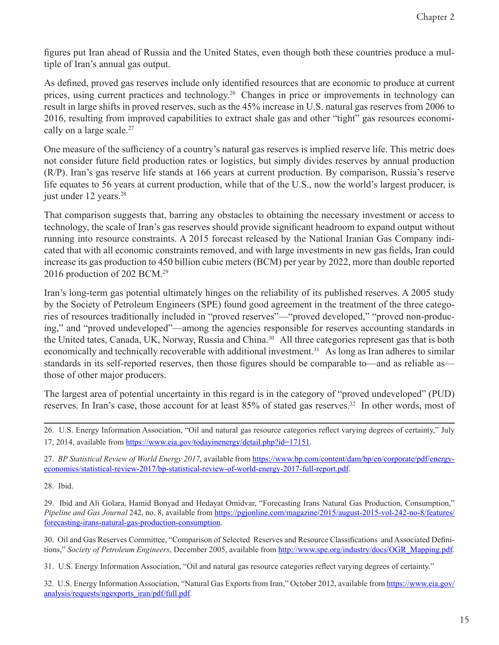figures put Iran ahead of Russia and the United States, even though both these countries produce a multiple of Iran's annual gas output.

As defined, proved gas reserves include only identified resources that are economic to produce at current prices, using current practices and technology.<sup>26</sup> Changes in price or improvements in technology can result in large shifts in proved reserves, such as the 45% increase in U.S. natural gas reserves from 2006 to 2016, resulting from improved capabilities to extract shale gas and other "tight" gas resources economically on a large scale.<sup>27</sup>

One measure of the sufficiency of a country's natural gas reserves is implied reserve life. This metric does not consider future field production rates or logistics, but simply divides reserves by annual production (R/P). Iran's gas reserve life stands at 166 years at current production. By comparison, Russia's reserve life equates to 56 years at current production, while that of the U.S., now the world's largest producer, is just under 12 years.<sup>28</sup>

That comparison suggests that, barring any obstacles to obtaining the necessary investment or access to technology, the scale of Iran's gas reserves should provide significant headroom to expand output without running into resource constraints. A 2015 forecast released by the National Iranian Gas Company indicated that with all economic constraints removed, and with large investments in new gas fields, Iran could increase its gas production to 450 billion cubic meters (BCM) per year by 2022, more than double reported 2016 production of 202 BCM.29

Iran's long-term gas potential ultimately hinges on the reliability of its published reserves. A 2005 study by the Society of Petroleum Engineers (SPE) found good agreement in the treatment of the three categories of resources traditionally included in "proved reserves"—"proved developed," "proved non-producing," and "proved undeveloped"—among the agencies responsible for reserves accounting standards in the United tates, Canada, UK, Norway, Russia and China.<sup>30</sup> All three categories represent gas that is both economically and technically recoverable with additional investment.<sup>31</sup> As long as Iran adheres to similar standards in its self-reported reserves, then those figures should be comparable to—and as reliable as those of other major producers.

The largest area of potential uncertainty in this regard is in the category of "proved undeveloped" (PUD) reserves. In Iran's case, those account for at least 85% of stated gas reserves.<sup>32</sup> In other words, most of

26. U.S. Energy Information Association, "Oil and natural gas resource categories reflect varying degrees of certainty," July 17, 2014, available from <https://www.eia.gov/todayinenergy/detail.php?id=17151>.

27. *BP Statistical Review of World Energy 2017*, available from [https://www.bp.com/content/dam/bp/en/corporate/pdf/energy](https://www.bp.com/content/dam/bp/en/corporate/pdf/energy-economics/statistical-review-2017/bp-statistical-review-of-world-energy-2017-full-report.pdf)[economics/statistical-review-2017/bp-statistical-review-of-world-energy-2017-full-report.pdf.](https://www.bp.com/content/dam/bp/en/corporate/pdf/energy-economics/statistical-review-2017/bp-statistical-review-of-world-energy-2017-full-report.pdf)

28. Ibid.

29. Ibid and Ali Golara, Hamid Bonyad and Hedayat Omidvar, "Forecasting Irans Natural Gas Production, Consumption," *Pipeline and Gas Journal* 242, no. 8, available from [https://pgjonline.com/magazine/2015/august-2015-vol-242-no-8/features/](https://pgjonline.com/magazine/2015/august-2015-vol-242-no-8/features/forecasting-irans-natural-gas-production-consumption) [forecasting-irans-natural-gas-production-consumption.](https://pgjonline.com/magazine/2015/august-2015-vol-242-no-8/features/forecasting-irans-natural-gas-production-consumption)

30. Oil and Gas Reserves Committee, "Comparison of Selected Reserves and Resource Classifications and Associated Definitions," *Society of Petroleum Engineers*, December 2005, available from [http://www.spe.org/industry/docs/OGR\\_Mapping.pdf](http://www.spe.org/industry/docs/OGR_Mapping.pdf).

31. U.S. Energy Information Association, "Oil and natural gas resource categories reflect varying degrees of certainty."

32. U.S. Energy Information Association, "Natural Gas Exports from Iran," October 2012, available from [https://www.eia.gov/](https://www.eia.gov/analysis/requests/ngexports_iran/pdf/full.pdf) [analysis/requests/ngexports\\_iran/pdf/full.pdf](https://www.eia.gov/analysis/requests/ngexports_iran/pdf/full.pdf).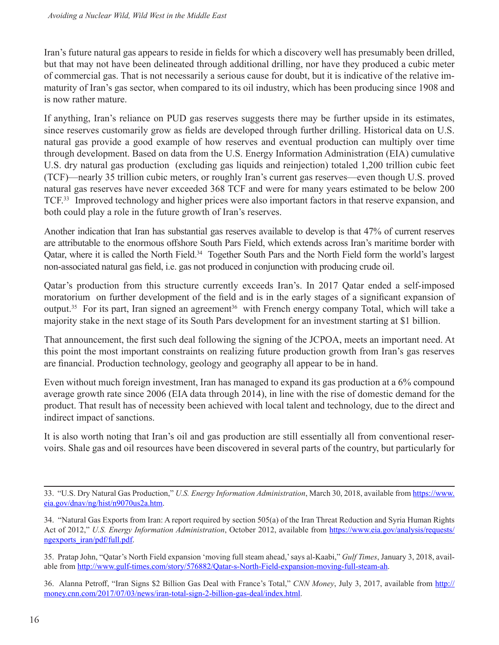Iran's future natural gas appears to reside in fields for which a discovery well has presumably been drilled, but that may not have been delineated through additional drilling, nor have they produced a cubic meter of commercial gas. That is not necessarily a serious cause for doubt, but it is indicative of the relative immaturity of Iran's gas sector, when compared to its oil industry, which has been producing since 1908 and is now rather mature.

If anything, Iran's reliance on PUD gas reserves suggests there may be further upside in its estimates, since reserves customarily grow as fields are developed through further drilling. Historical data on U.S. natural gas provide a good example of how reserves and eventual production can multiply over time through development. Based on data from the U.S. Energy Information Administration (EIA) cumulative U.S. dry natural gas production (excluding gas liquids and reinjection) totaled 1,200 trillion cubic feet (TCF)—nearly 35 trillion cubic meters, or roughly Iran's current gas reserves—even though U.S. proved natural gas reserves have never exceeded 368 TCF and were for many years estimated to be below 200 TCF.33 Improved technology and higher prices were also important factors in that reserve expansion, and both could play a role in the future growth of Iran's reserves.

Another indication that Iran has substantial gas reserves available to develop is that 47% of current reserves are attributable to the enormous offshore South Pars Field, which extends across Iran's maritime border with Qatar, where it is called the North Field.<sup>34</sup> Together South Pars and the North Field form the world's largest non-associated natural gas field, i.e. gas not produced in conjunction with producing crude oil.

Qatar's production from this structure currently exceeds Iran's. In 2017 Qatar ended a self-imposed moratorium on further development of the field and is in the early stages of a significant expansion of output.<sup>35</sup> For its part, Iran signed an agreement<sup>36</sup> with French energy company Total, which will take a majority stake in the next stage of its South Pars development for an investment starting at \$1 billion.

That announcement, the first such deal following the signing of the JCPOA, meets an important need. At this point the most important constraints on realizing future production growth from Iran's gas reserves are financial. Production technology, geology and geography all appear to be in hand.

Even without much foreign investment, Iran has managed to expand its gas production at a 6% compound average growth rate since 2006 (EIA data through 2014), in line with the rise of domestic demand for the product. That result has of necessity been achieved with local talent and technology, due to the direct and indirect impact of sanctions.

It is also worth noting that Iran's oil and gas production are still essentially all from conventional reservoirs. Shale gas and oil resources have been discovered in several parts of the country, but particularly for

36. Alanna Petroff, "Iran Signs \$2 Billion Gas Deal with France's Total," *CNN Money*, July 3, 2017, available from [http://](http://money.cnn.com/2017/07/03/news/iran-total-sign-2-billion-gas-deal/index.html) [money.cnn.com/2017/07/03/news/iran-total-sign-2-billion-gas-deal/index.html.](http://money.cnn.com/2017/07/03/news/iran-total-sign-2-billion-gas-deal/index.html)

<sup>33. &</sup>quot;U.S. Dry Natural Gas Production," *U.S. Energy Information Administration*, March 30, 2018, available from [https://www.](https://www.eia.gov/dnav/ng/hist/n9070us2a.htm) [eia.gov/dnav/ng/hist/n9070us2a.htm.](https://www.eia.gov/dnav/ng/hist/n9070us2a.htm)

<sup>34. &</sup>quot;Natural Gas Exports from Iran: A report required by section 505(a) of the Iran Threat Reduction and Syria Human Rights Act of 2012," *U.S. Energy Information Administration*, October 2012, available from [https://www.eia.gov/analysis/requests/](https://www.eia.gov/analysis/requests/ngexports_iran/pdf/full.pdf) [ngexports\\_iran/pdf/full.pdf.](https://www.eia.gov/analysis/requests/ngexports_iran/pdf/full.pdf)

<sup>35.</sup> Pratap John, "Qatar's North Field expansion 'moving full steam ahead,' says al-Kaabi," *Gulf Times*, January 3, 2018, available from [http://www.gulf-times.com/story/576882/Qatar-s-North-Field-expansion-moving-full-steam-ah.](http://www.gulf-times.com/story/576882/Qatar-s-North-Field-expansion-moving-full-steam-ah)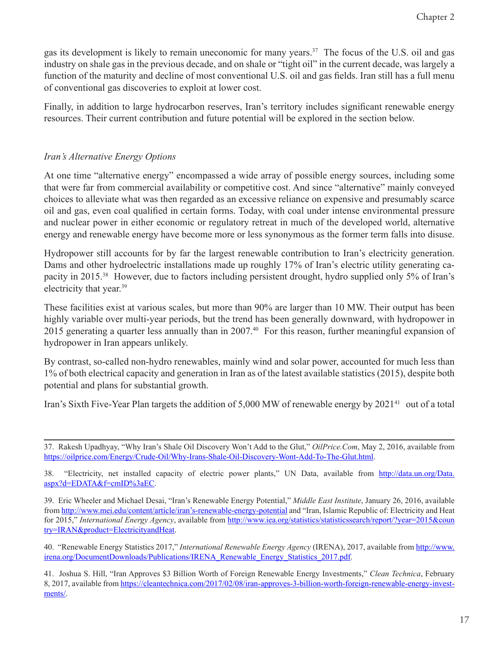gas its development is likely to remain uneconomic for many years.<sup>37</sup> The focus of the U.S. oil and gas industry on shale gas in the previous decade, and on shale or "tight oil" in the current decade, was largely a function of the maturity and decline of most conventional U.S. oil and gas fields. Iran still has a full menu of conventional gas discoveries to exploit at lower cost.

Finally, in addition to large hydrocarbon reserves, Iran's territory includes significant renewable energy resources. Their current contribution and future potential will be explored in the section below.

#### *Iran's Alternative Energy Options*

At one time "alternative energy" encompassed a wide array of possible energy sources, including some that were far from commercial availability or competitive cost. And since "alternative" mainly conveyed choices to alleviate what was then regarded as an excessive reliance on expensive and presumably scarce oil and gas, even coal qualified in certain forms. Today, with coal under intense environmental pressure and nuclear power in either economic or regulatory retreat in much of the developed world, alternative energy and renewable energy have become more or less synonymous as the former term falls into disuse.

Hydropower still accounts for by far the largest renewable contribution to Iran's electricity generation. Dams and other hydroelectric installations made up roughly 17% of Iran's electric utility generating capacity in 2015.38 However, due to factors including persistent drought, hydro supplied only 5% of Iran's electricity that year.39

These facilities exist at various scales, but more than 90% are larger than 10 MW. Their output has been highly variable over multi-year periods, but the trend has been generally downward, with hydropower in 2015 generating a quarter less annually than in 2007.40 For this reason, further meaningful expansion of hydropower in Iran appears unlikely.

By contrast, so-called non-hydro renewables, mainly wind and solar power, accounted for much less than 1% of both electrical capacity and generation in Iran as of the latest available statistics (2015), despite both potential and plans for substantial growth.

Iran's Sixth Five-Year Plan targets the addition of 5,000 MW of renewable energy by 2021<sup>41</sup> out of a total

38. "Electricity, net installed capacity of electric power plants," UN Data, available from [http://data.un.org/Data.](http://data.un.org/Data.aspx?d=EDATA&f=cmID%3aEC) [aspx?d=EDATA&f=cmID%3aEC](http://data.un.org/Data.aspx?d=EDATA&f=cmID%3aEC).

40. "Renewable Energy Statistics 2017," *International Renewable Energy Agency* (IRENA), 2017, available from [http://www.](http://www.irena.org/DocumentDownloads/Publications/IRENA_Renewable_Energy_Statistics_2017.pdf) [irena.org/DocumentDownloads/Publications/IRENA\\_Renewable\\_Energy\\_Statistics\\_2017.pdf](http://www.irena.org/DocumentDownloads/Publications/IRENA_Renewable_Energy_Statistics_2017.pdf).

<sup>37.</sup> Rakesh Upadhyay, "Why Iran's Shale Oil Discovery Won't Add to the Glut," *OilPrice.Com*, May 2, 2016, available from <https://oilprice.com/Energy/Crude-Oil/Why-Irans-Shale-Oil-Discovery-Wont-Add-To-The-Glut.html>.

<sup>39.</sup> Eric Wheeler and Michael Desai, "Iran's Renewable Energy Potential," *Middle East Institute*, January 26, 2016, available from [http://www.mei.edu/content/article/iran's-renewable-energy-potential](http://www.mei.edu/content/article/iran%E2%80%99s-renewable-energy-potential) and "Iran, Islamic Republic of: Electricity and Heat for 2015," *International Energy Agency*, available from [http://www.iea.org/statistics/statisticssearch/report/?year=2015&coun](http://www.iea.org/statistics/statisticssearch/report/?year=2015&country=IRAN&product=ElectricityandHeat) [try=IRAN&product=ElectricityandHeat](http://www.iea.org/statistics/statisticssearch/report/?year=2015&country=IRAN&product=ElectricityandHeat).

<sup>41.</sup> Joshua S. Hill, "Iran Approves \$3 Billion Worth of Foreign Renewable Energy Investments," *Clean Technica*, February 8, 2017, available from [https://cleantechnica.com/2017/02/08/iran-approves-3-billion-worth-foreign-renewable-energy-invest](https://cleantechnica.com/2017/02/08/iran-approves-3-billion-worth-foreign-renewable-energy-investments/)[ments/.](https://cleantechnica.com/2017/02/08/iran-approves-3-billion-worth-foreign-renewable-energy-investments/)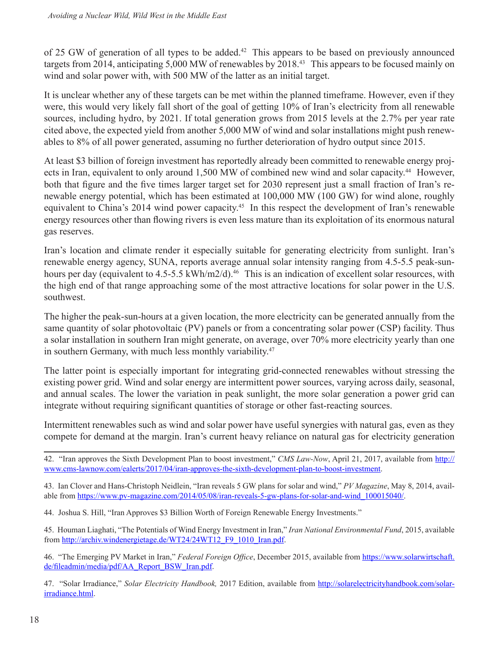of 25 GW of generation of all types to be added.<sup>42</sup> This appears to be based on previously announced targets from 2014, anticipating 5,000 MW of renewables by 2018.<sup>43</sup> This appears to be focused mainly on wind and solar power with, with 500 MW of the latter as an initial target.

It is unclear whether any of these targets can be met within the planned timeframe. However, even if they were, this would very likely fall short of the goal of getting 10% of Iran's electricity from all renewable sources, including hydro, by 2021. If total generation grows from 2015 levels at the 2.7% per year rate cited above, the expected yield from another 5,000 MW of wind and solar installations might push renewables to 8% of all power generated, assuming no further deterioration of hydro output since 2015.

At least \$3 billion of foreign investment has reportedly already been committed to renewable energy projects in Iran, equivalent to only around 1,500 MW of combined new wind and solar capacity.<sup>44</sup> However, both that figure and the five times larger target set for 2030 represent just a small fraction of Iran's renewable energy potential, which has been estimated at 100,000 MW (100 GW) for wind alone, roughly equivalent to China's 2014 wind power capacity.<sup>45</sup> In this respect the development of Iran's renewable energy resources other than flowing rivers is even less mature than its exploitation of its enormous natural gas reserves.

Iran's location and climate render it especially suitable for generating electricity from sunlight. Iran's renewable energy agency, SUNA, reports average annual solar intensity ranging from 4.5-5.5 peak-sunhours per day (equivalent to 4.5-5.5 kWh/m2/d).<sup>46</sup> This is an indication of excellent solar resources, with the high end of that range approaching some of the most attractive locations for solar power in the U.S. southwest.

The higher the peak-sun-hours at a given location, the more electricity can be generated annually from the same quantity of solar photovoltaic (PV) panels or from a concentrating solar power (CSP) facility. Thus a solar installation in southern Iran might generate, on average, over 70% more electricity yearly than one in southern Germany, with much less monthly variability.<sup>47</sup>

The latter point is especially important for integrating grid-connected renewables without stressing the existing power grid. Wind and solar energy are intermittent power sources, varying across daily, seasonal, and annual scales. The lower the variation in peak sunlight, the more solar generation a power grid can integrate without requiring significant quantities of storage or other fast-reacting sources.

Intermittent renewables such as wind and solar power have useful synergies with natural gas, even as they compete for demand at the margin. Iran's current heavy reliance on natural gas for electricity generation

42. "Iran approves the Sixth Development Plan to boost investment," CMS Law-Now, April 21, 2017, available from [http://](http://www.cms-lawnow.com/ealerts/2017/04/iran-approves-the-sixth-development-plan-to-boost-investment) [www.cms-lawnow.com/ealerts/2017/04/iran-approves-the-sixth-development-plan-to-boost-investment](http://www.cms-lawnow.com/ealerts/2017/04/iran-approves-the-sixth-development-plan-to-boost-investment).

43. Ian Clover and Hans-Christoph Neidlein, "Iran reveals 5 GW plans for solar and wind," *PV Magazine*, May 8, 2014, available from [https://www.pv-magazine.com/2014/05/08/iran-reveals-5-gw-plans-for-solar-and-wind\\_100015040/.](https://www.pv-magazine.com/2014/05/08/iran-reveals-5-gw-plans-for-solar-and-wind_100015040/)

44. Joshua S. Hill, "Iran Approves \$3 Billion Worth of Foreign Renewable Energy Investments."

45. Houman Liaghati, "The Potentials of Wind Energy Investment in Iran," *Iran National Environmental Fund*, 2015, available from [http://archiv.windenergietage.de/WT24/24WT12\\_F9\\_1010\\_Iran.pdf.](http://archiv.windenergietage.de/WT24/24WT12_F9_1010_Iran.pdf)

46. "The Emerging PV Market in Iran," *Federal Foreign Office*, December 2015, available from [https://www.solarwirtschaft.](https://www.solarwirtschaft.de/fileadmin/media/pdf/AA_Report_BSW_Iran.pdf) [de/fileadmin/media/pdf/AA\\_Report\\_BSW\\_Iran.pdf](https://www.solarwirtschaft.de/fileadmin/media/pdf/AA_Report_BSW_Iran.pdf).

47. "Solar Irradiance," *Solar Electricity Handbook,* 2017 Edition, available from [http://solarelectricityhandbook.com/solar](http://solarelectricityhandbook.com/solar-irradiance.html)[irradiance.html.](http://solarelectricityhandbook.com/solar-irradiance.html)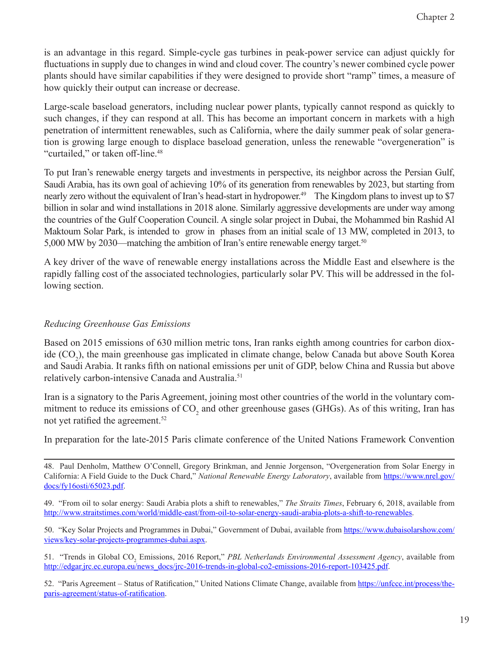is an advantage in this regard. Simple-cycle gas turbines in peak-power service can adjust quickly for fluctuations in supply due to changes in wind and cloud cover. The country's newer combined cycle power plants should have similar capabilities if they were designed to provide short "ramp" times, a measure of how quickly their output can increase or decrease.

Large-scale baseload generators, including nuclear power plants, typically cannot respond as quickly to such changes, if they can respond at all. This has become an important concern in markets with a high penetration of intermittent renewables, such as California, where the daily summer peak of solar generation is growing large enough to displace baseload generation, unless the renewable "overgeneration" is "curtailed," or taken off-line.<sup>48</sup>

To put Iran's renewable energy targets and investments in perspective, its neighbor across the Persian Gulf, Saudi Arabia, has its own goal of achieving 10% of its generation from renewables by 2023, but starting from nearly zero without the equivalent of Iran's head-start in hydropower.<sup>49</sup> The Kingdom plans to invest up to \$7 billion in solar and wind installations in 2018 alone. Similarly aggressive developments are under way among the countries of the Gulf Cooperation Council. A single solar project in Dubai, the Mohammed bin Rashid Al Maktoum Solar Park, is intended to grow in phases from an initial scale of 13 MW, completed in 2013, to 5,000 MW by 2030—matching the ambition of Iran's entire renewable energy target.<sup>50</sup>

A key driver of the wave of renewable energy installations across the Middle East and elsewhere is the rapidly falling cost of the associated technologies, particularly solar PV. This will be addressed in the following section.

#### *Reducing Greenhouse Gas Emissions*

Based on 2015 emissions of 630 million metric tons, Iran ranks eighth among countries for carbon dioxide (CO<sub>2</sub>), the main greenhouse gas implicated in climate change, below Canada but above South Korea and Saudi Arabia. It ranks fifth on national emissions per unit of GDP, below China and Russia but above relatively carbon-intensive Canada and Australia.<sup>51</sup>

Iran is a signatory to the Paris Agreement, joining most other countries of the world in the voluntary commitment to reduce its emissions of  $CO_2$  and other greenhouse gases (GHGs). As of this writing, Iran has not yet ratified the agreement.<sup>52</sup>

In preparation for the late-2015 Paris climate conference of the United Nations Framework Convention

50. "Key Solar Projects and Programmes in Dubai," Government of Dubai, available from [https://www.dubaisolarshow.com/](https://www.dubaisolarshow.com/views/key-solar-projects-programmes-dubai.aspx) [views/key-solar-projects-programmes-dubai.aspx.](https://www.dubaisolarshow.com/views/key-solar-projects-programmes-dubai.aspx)

51. "Trends in Global CO<sub>2</sub> Emissions, 2016 Report," *PBL Netherlands Environmental Assessment Agency*, available from [http://edgar.jrc.ec.europa.eu/news\\_docs/jrc-2016-trends-in-global-co2-emissions-2016-report-103425.pdf](http://edgar.jrc.ec.europa.eu/news_docs/jrc-2016-trends-in-global-co2-emissions-2016-report-103425.pdf).

52. "Paris Agreement – Status of Ratification," United Nations Climate Change, available from [https://unfccc.int/process/the](https://unfccc.int/process/the-paris-agreement/status-of-ratification)[paris-agreement/status-of-ratification](https://unfccc.int/process/the-paris-agreement/status-of-ratification).

<sup>48.</sup> Paul Denholm, Matthew O'Connell, Gregory Brinkman, and Jennie Jorgenson, "Overgeneration from Solar Energy in California: A Field Guide to the Duck Chard," *National Renewable Energy Laboratory*, available from [https://www.nrel.gov/](https://www.nrel.gov/docs/fy16osti/65023.pdf) [docs/fy16osti/65023.pdf](https://www.nrel.gov/docs/fy16osti/65023.pdf).

<sup>49. &</sup>quot;From oil to solar energy: Saudi Arabia plots a shift to renewables," *The Straits Times*, February 6, 2018, available from [http://www.straitstimes.com/world/middle-east/from-oil-to-solar-energy-saudi-arabia-plots-a-shift-to-renewables.](http://www.straitstimes.com/world/middle-east/from-oil-to-solar-energy-saudi-arabia-plots-a-shift-to-renewables)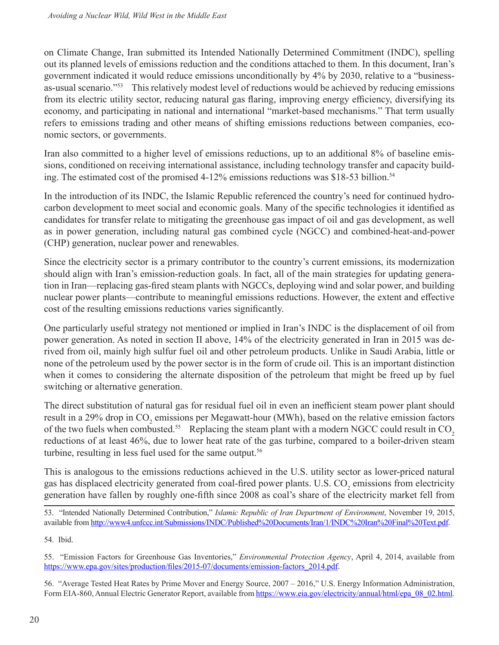on Climate Change, Iran submitted its Intended Nationally Determined Commitment (INDC), spelling out its planned levels of emissions reduction and the conditions attached to them. In this document, Iran's government indicated it would reduce emissions unconditionally by 4% by 2030, relative to a "businessas-usual scenario."<sup>53</sup> This relatively modest level of reductions would be achieved by reducing emissions from its electric utility sector, reducing natural gas flaring, improving energy efficiency, diversifying its economy, and participating in national and international "market-based mechanisms." That term usually refers to emissions trading and other means of shifting emissions reductions between companies, economic sectors, or governments.

Iran also committed to a higher level of emissions reductions, up to an additional 8% of baseline emissions, conditioned on receiving international assistance, including technology transfer and capacity building. The estimated cost of the promised  $4-12\%$  emissions reductions was \$18-53 billion.<sup>54</sup>

In the introduction of its INDC, the Islamic Republic referenced the country's need for continued hydrocarbon development to meet social and economic goals. Many of the specific technologies it identified as candidates for transfer relate to mitigating the greenhouse gas impact of oil and gas development, as well as in power generation, including natural gas combined cycle (NGCC) and combined-heat-and-power (CHP) generation, nuclear power and renewables.

Since the electricity sector is a primary contributor to the country's current emissions, its modernization should align with Iran's emission-reduction goals. In fact, all of the main strategies for updating generation in Iran—replacing gas-fired steam plants with NGCCs, deploying wind and solar power, and building nuclear power plants—contribute to meaningful emissions reductions. However, the extent and effective cost of the resulting emissions reductions varies significantly.

One particularly useful strategy not mentioned or implied in Iran's INDC is the displacement of oil from power generation. As noted in section II above, 14% of the electricity generated in Iran in 2015 was derived from oil, mainly high sulfur fuel oil and other petroleum products. Unlike in Saudi Arabia, little or none of the petroleum used by the power sector is in the form of crude oil. This is an important distinction when it comes to considering the alternate disposition of the petroleum that might be freed up by fuel switching or alternative generation.

The direct substitution of natural gas for residual fuel oil in even an inefficient steam power plant should result in a 29% drop in  $\mathrm{CO}_2$  emissions per Megawatt-hour (MWh), based on the relative emission factors of the two fuels when combusted.<sup>55</sup> Replacing the steam plant with a modern NGCC could result in  $CO<sub>2</sub>$ reductions of at least 46%, due to lower heat rate of the gas turbine, compared to a boiler-driven steam turbine, resulting in less fuel used for the same output.<sup>56</sup>

This is analogous to the emissions reductions achieved in the U.S. utility sector as lower-priced natural gas has displaced electricity generated from coal-fired power plants. U.S.  $\text{CO}_2$  emissions from electricity generation have fallen by roughly one-fifth since 2008 as coal's share of the electricity market fell from

56. "Average Tested Heat Rates by Prime Mover and Energy Source, 2007 – 2016," U.S. Energy Information Administration, Form EIA-860, Annual Electric Generator Report, available from [https://www.eia.gov/electricity/annual/html/epa\\_08\\_02.html](https://www.eia.gov/electricity/annual/html/epa_08_02.html)*.*

<sup>53. &</sup>quot;Intended Nationally Determined Contribution," *Islamic Republic of Iran Department of Environment*, November 19, 2015, available from <http://www4.unfccc.int/Submissions/INDC/Published%20Documents/Iran/1/INDC%20Iran%20Final%20Text.pdf>.

<sup>54.</sup> Ibid.

<sup>55. &</sup>quot;Emission Factors for Greenhouse Gas Inventories," *Environmental Protection Agency*, April 4, 2014, available from [https://www.epa.gov/sites/production/files/2015-07/documents/emission-factors\\_2014.pdf](https://www.epa.gov/sites/production/files/2015-07/documents/emission-factors_2014.pdf).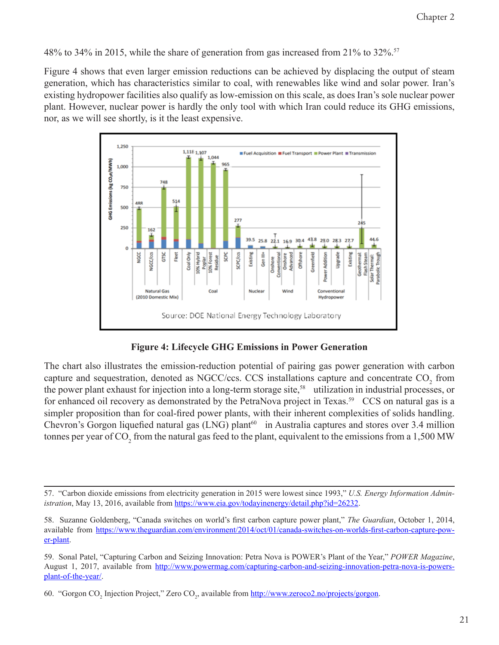48% to 34% in 2015, while the share of generation from gas increased from 21% to 32%.57

Figure 4 shows that even larger emission reductions can be achieved by displacing the output of steam generation, which has characteristics similar to coal, with renewables like wind and solar power. Iran's existing hydropower facilities also qualify as low-emission on this scale, as does Iran's sole nuclear power plant. However, nuclear power is hardly the only tool with which Iran could reduce its GHG emissions, nor, as we will see shortly, is it the least expensive.





The chart also illustrates the emission-reduction potential of pairing gas power generation with carbon capture and sequestration, denoted as NGCC/ccs. CCS installations capture and concentrate  $CO_2$  from the power plant exhaust for injection into a long-term storage site,<sup>58</sup> utilization in industrial processes, or for enhanced oil recovery as demonstrated by the PetraNova project in Texas.<sup>59</sup> CCS on natural gas is a simpler proposition than for coal-fired power plants, with their inherent complexities of solids handling. Chevron's Gorgon liquefied natural gas (LNG) plant<sup>60</sup> in Australia captures and stores over 3.4 million tonnes per year of CO<sub>2</sub> from the natural gas feed to the plant, equivalent to the emissions from a 1,500 MW

<sup>57. &</sup>quot;Carbon dioxide emissions from electricity generation in 2015 were lowest since 1993," *U.S. Energy Information Administration*, May 13, 2016, available from [https://www.eia.gov/todayinenergy/detail.php?id=26232.](https://www.eia.gov/todayinenergy/detail.php?id=26232)

<sup>58.</sup> Suzanne Goldenberg, "Canada switches on world's first carbon capture power plant," *The Guardian*, October 1, 2014, available from [https://www.theguardian.com/environment/2014/oct/01/canada-switches-on-worlds-first-carbon-capture-pow](https://www.theguardian.com/environment/2014/oct/01/canada-switches-on-worlds-first-carbon-capture-power-plant)[er-plant.](https://www.theguardian.com/environment/2014/oct/01/canada-switches-on-worlds-first-carbon-capture-power-plant)

<sup>59.</sup> Sonal Patel, "Capturing Carbon and Seizing Innovation: Petra Nova is POWER's Plant of the Year," *POWER Magazine*, August 1, 2017, available from [http://www.powermag.com/capturing-carbon-and-seizing-innovation-petra-nova-is-powers](http://www.powermag.com/capturing-carbon-and-seizing-innovation-petra-nova-is-powers-plant-of-the-year/)[plant-of-the-year/.](http://www.powermag.com/capturing-carbon-and-seizing-innovation-petra-nova-is-powers-plant-of-the-year/)

<sup>60. &</sup>quot;Gorgon CO<sub>2</sub> Injection Project," Zero CO<sub>2</sub>, available from <u>http://www.zeroco2.no/projects/gorgon</u>.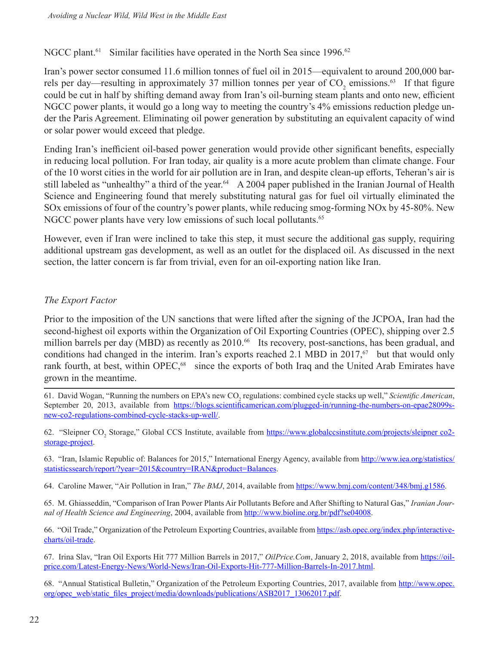NGCC plant.<sup>61</sup> Similar facilities have operated in the North Sea since 1996.<sup>62</sup>

Iran's power sector consumed 11.6 million tonnes of fuel oil in 2015—equivalent to around 200,000 barrels per day—resulting in approximately 37 million tonnes per year of  $CO_2$  emissions.<sup>63</sup> If that figure could be cut in half by shifting demand away from Iran's oil-burning steam plants and onto new, efficient NGCC power plants, it would go a long way to meeting the country's 4% emissions reduction pledge under the Paris Agreement. Eliminating oil power generation by substituting an equivalent capacity of wind or solar power would exceed that pledge.

Ending Iran's inefficient oil-based power generation would provide other significant benefits, especially in reducing local pollution. For Iran today, air quality is a more acute problem than climate change. Four of the 10 worst cities in the world for air pollution are in Iran, and despite clean-up efforts, Teheran's air is still labeled as "unhealthy" a third of the year.<sup>64</sup> A 2004 paper published in the Iranian Journal of Health Science and Engineering found that merely substituting natural gas for fuel oil virtually eliminated the SOx emissions of four of the country's power plants, while reducing smog-forming NOx by 45-80%. New NGCC power plants have very low emissions of such local pollutants.<sup>65</sup>

However, even if Iran were inclined to take this step, it must secure the additional gas supply, requiring additional upstream gas development, as well as an outlet for the displaced oil. As discussed in the next section, the latter concern is far from trivial, even for an oil-exporting nation like Iran.

#### *The Export Factor*

Prior to the imposition of the UN sanctions that were lifted after the signing of the JCPOA, Iran had the second-highest oil exports within the Organization of Oil Exporting Countries (OPEC), shipping over 2.5 million barrels per day (MBD) as recently as 2010.<sup>66</sup> Its recovery, post-sanctions, has been gradual, and conditions had changed in the interim. Iran's exports reached 2.1 MBD in  $2017<sup>67</sup>$  but that would only rank fourth, at best, within OPEC,<sup>68</sup> since the exports of both Iraq and the United Arab Emirates have grown in the meantime.

61. David Wogan, "Running the numbers on EPA's new CO<sub>2</sub> regulations: combined cycle stacks up well," *Scientific American*, September 20, 2013, available from [https://blogs.scientificamerican.com/plugged-in/running-the-numbers-on-epae28099s](https://blogs.scientificamerican.com/plugged-in/running-the-numbers-on-epae28099s-new-co2-regulations-combined-cycle-stacks-up-well/)[new-co2-regulations-combined-cycle-stacks-up-well/.](https://blogs.scientificamerican.com/plugged-in/running-the-numbers-on-epae28099s-new-co2-regulations-combined-cycle-stacks-up-well/)

62. "Sleipner CO<sub>2</sub> Storage," Global CCS Institute, available from [https://www.globalccsinstitute.com/projects/sleipner co2](https://www.globalccsinstitute.com/projects/sleipner%C2%A0co2-storage-project) [storage-project.](https://www.globalccsinstitute.com/projects/sleipner%C2%A0co2-storage-project)

63. "Iran, Islamic Republic of: Balances for 2015," International Energy Agency, available from [http://www.iea.org/statistics/](http://www.iea.org/statistics/statisticssearch/report/?year=2015&country=IRAN&product=Balances) [statisticssearch/report/?year=2015&country=IRAN&product=Balances](http://www.iea.org/statistics/statisticssearch/report/?year=2015&country=IRAN&product=Balances).

64. Caroline Mawer, "Air Pollution in Iran," *The BMJ*, 2014, available from [https://www.bmj.com/content/348/bmj.g1586.](https://www.bmj.com/content/348/bmj.g1586)

65. M. Ghiasseddin, "Comparison of Iran Power Plants Air Pollutants Before and After Shifting to Natural Gas," *Iranian Journal of Health Science and Engineering*, 2004, available from <http://www.bioline.org.br/pdf?se04008>.

66. "Oil Trade," Organization of the Petroleum Exporting Countries, available from [https://asb.opec.org/index.php/interactive](https://asb.opec.org/index.php/interactive-charts/oil-trade)[charts/oil-trade.](https://asb.opec.org/index.php/interactive-charts/oil-trade)

67. Irina Slav, "Iran Oil Exports Hit 777 Million Barrels in 2017," *OilPrice.Com*, January 2, 2018, available from [https://oil](https://oilprice.com/Latest-Energy-News/World-News/Iran-Oil-Exports-Hit-777-Million-Barrels-In-2017.html)[price.com/Latest-Energy-News/World-News/Iran-Oil-Exports-Hit-777-Million-Barrels-In-2017.html.](https://oilprice.com/Latest-Energy-News/World-News/Iran-Oil-Exports-Hit-777-Million-Barrels-In-2017.html)

68. "Annual Statistical Bulletin," Organization of the Petroleum Exporting Countries, 2017, available from [http://www.opec.](http://www.opec.org/opec_web/static_files_project/media/downloads/publications/ASB2017_13062017.pdf) [org/opec\\_web/static\\_files\\_project/media/downloads/publications/ASB2017\\_13062017.pdf](http://www.opec.org/opec_web/static_files_project/media/downloads/publications/ASB2017_13062017.pdf).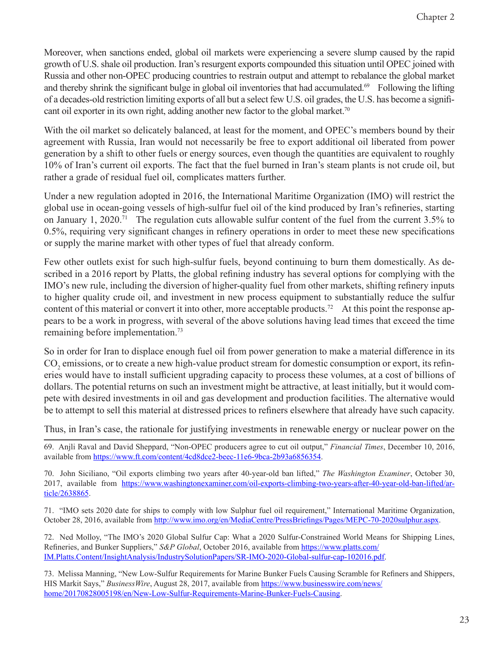Moreover, when sanctions ended, global oil markets were experiencing a severe slump caused by the rapid growth of U.S. shale oil production. Iran's resurgent exports compounded this situation until OPEC joined with Russia and other non-OPEC producing countries to restrain output and attempt to rebalance the global market and thereby shrink the significant bulge in global oil inventories that had accumulated.<sup>69</sup> Following the lifting of a decades-old restriction limiting exports of all but a select few U.S. oil grades, the U.S. has become a significant oil exporter in its own right, adding another new factor to the global market.<sup>70</sup>

With the oil market so delicately balanced, at least for the moment, and OPEC's members bound by their agreement with Russia, Iran would not necessarily be free to export additional oil liberated from power generation by a shift to other fuels or energy sources, even though the quantities are equivalent to roughly 10% of Iran's current oil exports. The fact that the fuel burned in Iran's steam plants is not crude oil, but rather a grade of residual fuel oil, complicates matters further.

Under a new regulation adopted in 2016, the International Maritime Organization (IMO) will restrict the global use in ocean-going vessels of high-sulfur fuel oil of the kind produced by Iran's refineries, starting on January 1, 2020.<sup>71</sup> The regulation cuts allowable sulfur content of the fuel from the current  $3.5\%$  to 0.5%, requiring very significant changes in refinery operations in order to meet these new specifications or supply the marine market with other types of fuel that already conform.

Few other outlets exist for such high-sulfur fuels, beyond continuing to burn them domestically. As described in a 2016 report by Platts, the global refining industry has several options for complying with the IMO's new rule, including the diversion of higher-quality fuel from other markets, shifting refinery inputs to higher quality crude oil, and investment in new process equipment to substantially reduce the sulfur content of this material or convert it into other, more acceptable products.<sup>72</sup> At this point the response appears to be a work in progress, with several of the above solutions having lead times that exceed the time remaining before implementation.73

So in order for Iran to displace enough fuel oil from power generation to make a material difference in its  $\mathrm{CO}_2$  emissions, or to create a new high-value product stream for domestic consumption or export, its refineries would have to install sufficient upgrading capacity to process these volumes, at a cost of billions of dollars. The potential returns on such an investment might be attractive, at least initially, but it would compete with desired investments in oil and gas development and production facilities. The alternative would be to attempt to sell this material at distressed prices to refiners elsewhere that already have such capacity.

Thus, in Iran's case, the rationale for justifying investments in renewable energy or nuclear power on the

69. Anjli Raval and David Sheppard, "Non-OPEC producers agree to cut oil output," *Financial Times*, December 10, 2016, available from [https://www.ft.com/content/4cd8dce2-beec-11e6-9bca-2b93a6856354.](https://www.ft.com/content/4cd8dce2-beec-11e6-9bca-2b93a6856354)

70. John Siciliano, "Oil exports climbing two years after 40-year-old ban lifted," *The Washington Examiner*, October 30, 2017, available from [https://www.washingtonexaminer.com/oil-exports-climbing-two-years-after-40-year-old-ban-lifted/ar](https://www.washingtonexaminer.com/oil-exports-climbing-two-years-after-40-year-old-ban-lifted/article/2638865)[ticle/2638865.](https://www.washingtonexaminer.com/oil-exports-climbing-two-years-after-40-year-old-ban-lifted/article/2638865)

71. "IMO sets 2020 date for ships to comply with low Sulphur fuel oil requirement," International Maritime Organization, October 28, 2016, available from <http://www.imo.org/en/MediaCentre/PressBriefings/Pages/MEPC-70-2020sulphur.aspx>.

72. Ned Molloy, "The IMO's 2020 Global Sulfur Cap: What a 2020 Sulfur-Constrained World Means for Shipping Lines, Refineries, and Bunker Suppliers," *S&P Global*, October 2016, available from [https://www.platts.com/](https://www.platts.com/IM.Platts.Content/InsightAnalysis/IndustrySolutionPapers/SR-IMO-2020-Global-sulfur-cap-102016.pdf) [IM.Platts.Content/InsightAnalysis/IndustrySolutionPapers/SR-IMO-2020-Global-sulfur-cap-102016.pdf](https://www.platts.com/IM.Platts.Content/InsightAnalysis/IndustrySolutionPapers/SR-IMO-2020-Global-sulfur-cap-102016.pdf).

73. Melissa Manning, "New Low-Sulfur Requirements for Marine Bunker Fuels Causing Scramble for Refiners and Shippers, HIS Markit Says," *BusinessWire*, August 28, 2017, available from [https://www.businesswire.com/news/](https://www.businesswire.com/news/home/20170828005198/en/New-Low-Sulfur-Requirements-Marine-Bunker-Fuels-Causing) [home/20170828005198/en/New-Low-Sulfur-Requirements-Marine-Bunker-Fuels-Causing](https://www.businesswire.com/news/home/20170828005198/en/New-Low-Sulfur-Requirements-Marine-Bunker-Fuels-Causing).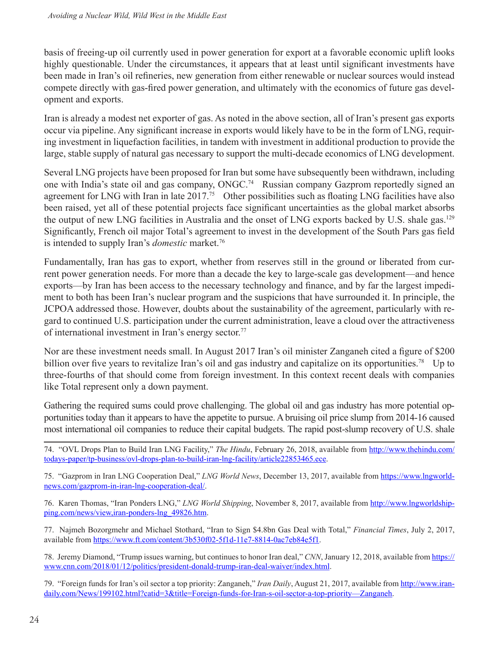basis of freeing-up oil currently used in power generation for export at a favorable economic uplift looks highly questionable. Under the circumstances, it appears that at least until significant investments have been made in Iran's oil refineries, new generation from either renewable or nuclear sources would instead compete directly with gas-fired power generation, and ultimately with the economics of future gas development and exports.

Iran is already a modest net exporter of gas. As noted in the above section, all of Iran's present gas exports occur via pipeline. Any significant increase in exports would likely have to be in the form of LNG, requiring investment in liquefaction facilities, in tandem with investment in additional production to provide the large, stable supply of natural gas necessary to support the multi-decade economics of LNG development.

Several LNG projects have been proposed for Iran but some have subsequently been withdrawn, including one with India's state oil and gas company, ONGC.<sup>74</sup> Russian company Gazprom reportedly signed an agreement for LNG with Iran in late 2017.<sup>75</sup> Other possibilities such as floating LNG facilities have also been raised, yet all of these potential projects face significant uncertainties as the global market absorbs the output of new LNG facilities in Australia and the onset of LNG exports backed by U.S. shale gas.<sup>129</sup> Significantly, French oil major Total's agreement to invest in the development of the South Pars gas field is intended to supply Iran's *domestic* market.76

Fundamentally, Iran has gas to export, whether from reserves still in the ground or liberated from current power generation needs. For more than a decade the key to large-scale gas development—and hence exports—by Iran has been access to the necessary technology and finance, and by far the largest impediment to both has been Iran's nuclear program and the suspicions that have surrounded it. In principle, the JCPOA addressed those. However, doubts about the sustainability of the agreement, particularly with regard to continued U.S. participation under the current administration, leave a cloud over the attractiveness of international investment in Iran's energy sector.<sup>77</sup>

Nor are these investment needs small. In August 2017 Iran's oil minister Zanganeh cited a figure of \$200 billion over five years to revitalize Iran's oil and gas industry and capitalize on its opportunities.<sup>78</sup> Up to three-fourths of that should come from foreign investment. In this context recent deals with companies like Total represent only a down payment.

Gathering the required sums could prove challenging. The global oil and gas industry has more potential opportunities today than it appears to have the appetite to pursue. A bruising oil price slump from 2014-16 caused most international oil companies to reduce their capital budgets. The rapid post-slump recovery of U.S. shale

74. "OVL Drops Plan to Build Iran LNG Facility," *The Hindu*, February 26, 2018, available from [http://www.thehindu.com/](http://www.thehindu.com/todays-paper/tp-business/ovl-drops-plan-to-build-iran-lng-facility/article22853465.ece) [todays-paper/tp-business/ovl-drops-plan-to-build-iran-lng-facility/article22853465.ece](http://www.thehindu.com/todays-paper/tp-business/ovl-drops-plan-to-build-iran-lng-facility/article22853465.ece).

75. "Gazprom in Iran LNG Cooperation Deal," *LNG World News*, December 13, 2017, available from [https://www.lngworld](https://www.lngworldnews.com/gazprom-in-iran-lng-cooperation-deal/)[news.com/gazprom-in-iran-lng-cooperation-deal/](https://www.lngworldnews.com/gazprom-in-iran-lng-cooperation-deal/).

76. Karen Thomas, "Iran Ponders LNG," *LNG World Shipping*, November 8, 2017, available from [http://www.lngworldship](http://www.lngworldshipping.com/news/view,iran-ponders-lng_49826.htm)[ping.com/news/view,iran-ponders-lng\\_49826.htm.](http://www.lngworldshipping.com/news/view,iran-ponders-lng_49826.htm)

77. Najmeh Bozorgmehr and Michael Stothard, "Iran to Sign \$4.8bn Gas Deal with Total," *Financial Times*, July 2, 2017, available from [https://www.ft.com/content/3b530f02-5f1d-11e7-8814-0ac7eb84e5f1.](https://www.ft.com/content/3b530f02-5f1d-11e7-8814-0ac7eb84e5f1)

78. Jeremy Diamond, "Trump issues warning, but continues to honor Iran deal," *CNN*, January 12, 2018, available from [https://](https://www.cnn.com/2018/01/12/politics/president-donald-trump-iran-deal-waiver/index.html) [www.cnn.com/2018/01/12/politics/president-donald-trump-iran-deal-waiver/index.html.](https://www.cnn.com/2018/01/12/politics/president-donald-trump-iran-deal-waiver/index.html)

79. "Foreign funds for Iran's oil sector a top priority: Zanganeh," Iran Daily, August 21, 2017, available from [http://www.iran](http://www.iran-daily.com/News/199102.html?catid=3&title=Foreign-funds-for-Iran-s-oil-sector-a-top-priority�Zanganeh)[daily.com/News/199102.html?catid=3&title=Foreign-funds-for-Iran-s-oil-sector-a-top-priority—Zanganeh](http://www.iran-daily.com/News/199102.html?catid=3&title=Foreign-funds-for-Iran-s-oil-sector-a-top-priority�Zanganeh).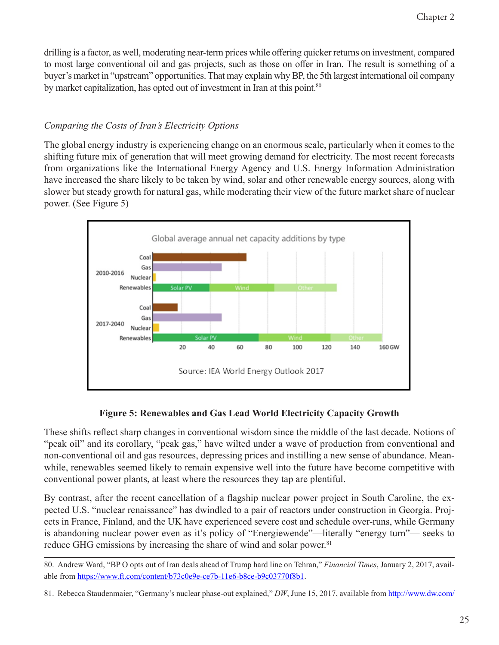drilling is a factor, as well, moderating near-term prices while offering quicker returns on investment, compared to most large conventional oil and gas projects, such as those on offer in Iran. The result is something of a buyer's market in "upstream" opportunities. That may explain why BP, the 5th largest international oil company by market capitalization, has opted out of investment in Iran at this point.<sup>80</sup>

#### *Comparing the Costs of Iran's Electricity Options*

The global energy industry is experiencing change on an enormous scale, particularly when it comes to the shifting future mix of generation that will meet growing demand for electricity. The most recent forecasts from organizations like the International Energy Agency and U.S. Energy Information Administration have increased the share likely to be taken by wind, solar and other renewable energy sources, along with slower but steady growth for natural gas, while moderating their view of the future market share of nuclear power. (See Figure 5)



#### **Figure 5: Renewables and Gas Lead World Electricity Capacity Growth**

These shifts reflect sharp changes in conventional wisdom since the middle of the last decade. Notions of "peak oil" and its corollary, "peak gas," have wilted under a wave of production from conventional and non-conventional oil and gas resources, depressing prices and instilling a new sense of abundance. Meanwhile, renewables seemed likely to remain expensive well into the future have become competitive with conventional power plants, at least where the resources they tap are plentiful.

By contrast, after the recent cancellation of a flagship nuclear power project in South Caroline, the expected U.S. "nuclear renaissance" has dwindled to a pair of reactors under construction in Georgia. Projects in France, Finland, and the UK have experienced severe cost and schedule over-runs, while Germany is abandoning nuclear power even as it's policy of "Energiewende"—literally "energy turn"— seeks to reduce GHG emissions by increasing the share of wind and solar power.<sup>81</sup>

<sup>80.</sup> Andrew Ward, "BP O opts out of Iran deals ahead of Trump hard line on Tehran," *Financial Times*, January 2, 2017, available from<https://www.ft.com/content/b73c0e9e-ce7b-11e6-b8ce-b9c03770f8b1>.

<sup>81.</sup> Rebecca Staudenmaier, "Germany's nuclear phase-out explained," *DW*, June 15, 2017, available from [http://www.dw.com/](http://www.dw.com/en/germanys-nuclear-phase-out-explained/a-39171204)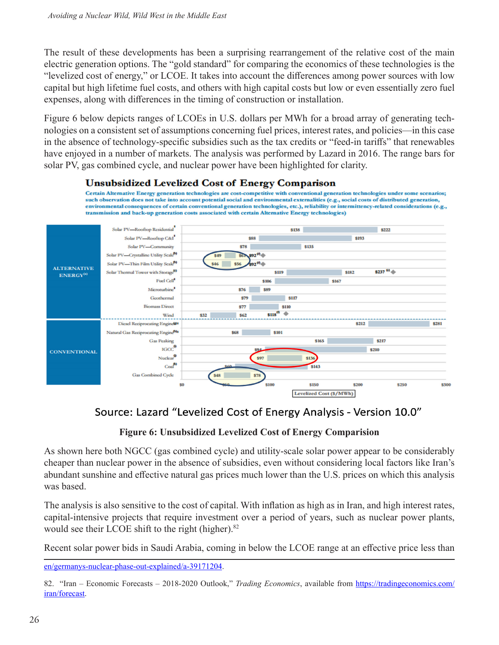The result of these developments has been a surprising rearrangement of the relative cost of the main electric generation options. The "gold standard" for comparing the economics of these technologies is the "levelized cost of energy," or LCOE. It takes into account the differences among power sources with low capital but high lifetime fuel costs, and others with high capital costs but low or even essentially zero fuel expenses, along with differences in the timing of construction or installation.

Figure 6 below depicts ranges of LCOEs in U.S. dollars per MWh for a broad array of generating technologies on a consistent set of assumptions concerning fuel prices, interest rates, and policies—in this case in the absence of technology-specific subsidies such as the tax credits or "feed-in tariffs" that renewables have enjoyed in a number of markets. The analysis was performed by Lazard in 2016. The range bars for solar PV, gas combined cycle, and nuclear power have been highlighted for clarity.



Certain Alternative Energy generation technologies are cost-competitive with conventional generation technologies under some scenarios; such observation does not take into account potential social and environmental externalities (e.g., social costs of distributed generation, environmental consequences of certain conventional generation technologies, etc.), reliability or intermittency-related considerations (e.g., transmission and back-up generation costs associated with certain Alternative Energy technologies)



## Source: Lazard "Levelized Cost of Energy Analysis - Version 10.0"

#### **Figure 6: Unsubsidized Levelized Cost of Energy Comparision**

As shown here both NGCC (gas combined cycle) and utility-scale solar power appear to be considerably cheaper than nuclear power in the absence of subsidies, even without considering local factors like Iran's abundant sunshine and effective natural gas prices much lower than the U.S. prices on which this analysis was based.

The analysis is also sensitive to the cost of capital. With inflation as high as in Iran, and high interest rates, capital-intensive projects that require investment over a period of years, such as nuclear power plants, would see their LCOE shift to the right (higher).<sup>82</sup>

Recent solar power bids in Saudi Arabia, coming in below the LCOE range at an effective price less than

[en/germanys-nuclear-phase-out-explained/a-39171204.](http://www.dw.com/en/germanys-nuclear-phase-out-explained/a-39171204)

<sup>82. &</sup>quot;Iran – Economic Forecasts – 2018-2020 Outlook," *Trading Economics*, available from [https://tradingeconomics.com/](https://tradingeconomics.com/iran/forecast) [iran/forecast.](https://tradingeconomics.com/iran/forecast)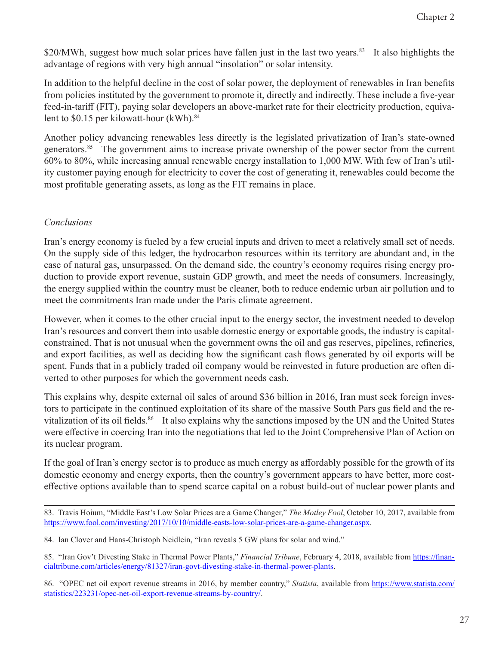\$20/MWh, suggest how much solar prices have fallen just in the last two years.<sup>83</sup> It also highlights the advantage of regions with very high annual "insolation" or solar intensity.

In addition to the helpful decline in the cost of solar power, the deployment of renewables in Iran benefits from policies instituted by the government to promote it, directly and indirectly. These include a five-year feed-in-tariff (FIT), paying solar developers an above-market rate for their electricity production, equivalent to  $$0.15$  per kilowatt-hour (kWh).<sup>84</sup>

Another policy advancing renewables less directly is the legislated privatization of Iran's state-owned generators.<sup>85</sup> The government aims to increase private ownership of the power sector from the current 60% to 80%, while increasing annual renewable energy installation to 1,000 MW. With few of Iran's utility customer paying enough for electricity to cover the cost of generating it, renewables could become the most profitable generating assets, as long as the FIT remains in place.

#### *Conclusions*

Iran's energy economy is fueled by a few crucial inputs and driven to meet a relatively small set of needs. On the supply side of this ledger, the hydrocarbon resources within its territory are abundant and, in the case of natural gas, unsurpassed. On the demand side, the country's economy requires rising energy production to provide export revenue, sustain GDP growth, and meet the needs of consumers. Increasingly, the energy supplied within the country must be cleaner, both to reduce endemic urban air pollution and to meet the commitments Iran made under the Paris climate agreement.

However, when it comes to the other crucial input to the energy sector, the investment needed to develop Iran's resources and convert them into usable domestic energy or exportable goods, the industry is capitalconstrained. That is not unusual when the government owns the oil and gas reserves, pipelines, refineries, and export facilities, as well as deciding how the significant cash flows generated by oil exports will be spent. Funds that in a publicly traded oil company would be reinvested in future production are often diverted to other purposes for which the government needs cash.

This explains why, despite external oil sales of around \$36 billion in 2016, Iran must seek foreign investors to participate in the continued exploitation of its share of the massive South Pars gas field and the revitalization of its oil fields.<sup>86</sup> It also explains why the sanctions imposed by the UN and the United States were effective in coercing Iran into the negotiations that led to the Joint Comprehensive Plan of Action on its nuclear program.

If the goal of Iran's energy sector is to produce as much energy as affordably possible for the growth of its domestic economy and energy exports, then the country's government appears to have better, more costeffective options available than to spend scarce capital on a robust build-out of nuclear power plants and

<sup>83.</sup> Travis Hoium, "Middle East's Low Solar Prices are a Game Changer," *The Motley Fool*, October 10, 2017, available from [https://www.fool.com/investing/2017/10/10/middle-easts-low-solar-prices-are-a-game-changer.aspx.](https://www.fool.com/investing/2017/10/10/middle-easts-low-solar-prices-are-a-game-changer.aspx)

<sup>84.</sup> Ian Clover and Hans-Christoph Neidlein, "Iran reveals 5 GW plans for solar and wind."

<sup>85. &</sup>quot;Iran Gov't Divesting Stake in Thermal Power Plants," *Financial Tribune*, February 4, 2018, available from [https://finan](https://financialtribune.com/articles/energy/81327/iran-govt-divesting-stake-in-thermal-power-plants)[cialtribune.com/articles/energy/81327/iran-govt-divesting-stake-in-thermal-power-plants](https://financialtribune.com/articles/energy/81327/iran-govt-divesting-stake-in-thermal-power-plants).

<sup>86. &</sup>quot;OPEC net oil export revenue streams in 2016, by member country," *Statista*, available from [https://www.statista.com/](https://www.statista.com/statistics/223231/opec-net-oil-export-revenue-streams-by-country/) [statistics/223231/opec-net-oil-export-revenue-streams-by-country/](https://www.statista.com/statistics/223231/opec-net-oil-export-revenue-streams-by-country/).